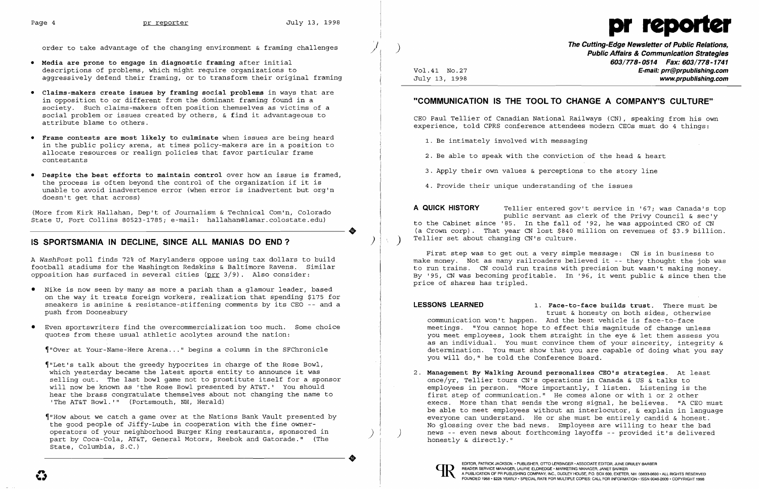

/

- **• Media are prone to engage in diagnostic framing** after initial descriptions of problems, which might require organizations to aggressively defend their framing, or to transform their original framing
- **• Claims-makers create issues by framing social problems** in ways that are in opposition to or different from the dominant framing found in a society. Such claims-makers often position themselves as victims of a social problem or issues created by others, & find it advantageous to attribute blame to others.
- **• Frame contests are most likely to culminate** when issues are being heard in the public policy arena, at times policy-makers are in a position to allocate resources or realign policies that favor particular frame contestants
- **• Despite the best efforts to maintain control** over how an issue is framed, the process is often beyond the control of the organization if it is unable to avoid inadvertence error (when error is inadvertent but org'n doesn't get that across)

- Nike is now seen by many as more a pariah than a glamour leader, based on the way it treats foreign workers, realization that spending \$175 for sneakers is asinine & resistance-stiffening comments by its CEO -- and a push from Doonesbury
- • Even sportswriters find the overcommercialization too much. Some choice quotes from these usual athletic acolytes around the nation:

(More from Kirk Hallahan, Dep't of Journalism & Technical Com'n, Colorado State U, Fort Collins 80523-1785; e-mail: hallahan@lamar.colostate.edu)

## IS SPORTSMANIA IN DECLINE, SINCE ALL MANIAS DO END?

..

A *WashPost* poll finds 72% of Marylanders oppose using tax dollars to build football stadiums for the Washington Redskins & Baltimore Ravens. Similar opposition has surfaced in several cities (prr 3/9). Also consider:

- 1. Be intimately involved with messaging
- 2. Be able to speak with the conviction of the head & heart
- 3. Apply their own values & perceptions to the story line
- 4. Provide their unique understanding of the issues

**A QUICK HISTORY** Tellier entered gov't service in '67; was Canada's top public servant as clerk of the Privy Council & sec'y to the Cabinet since '85. In the fall of '92, he was appointed CEO of CN (a Crown corp). That year CN lost \$840 million on revenues of \$3.9 billion. Tellier set about changing CN's culture.

~"Over at Your-Name-Here Arena ... " begins a column in the SFChronicle

~"Let's talk about the greedy hypocrites in charge of the Rose Bowl, which yesterday became the latest sports entity to announce it was selling out. The last bowl game not to prostitute itself for a sponsor will now be known as 'the Rose Bowl presented by AT&T.' You should hear the brass congratulate themselves about not changing the name to 'The AT&T Bowl. '" (Portsmouth, NH, Herald)

employees in person. "More importantly, I listen. Listening is the first step of communication." He comes alone or with 1 or 2 other execs. More than that sends the wrong signal, he believes. "A CEO must be able to meet employees without an interlocutor, & explain in language everyone can understand. He or she must be entirely candid & honest. No glossing over the bad news. Employees are willing to hear the bad news -- even news about forthcoming layoffs -- provided it's delivered

~"HOW about we catch a game over at the Nations Bank Vault presented by the good people of Jiffy-Lube in cooperation with the fine owneroperators of your neighborhood Burger King restaurants, sponsored in part by Coca-Cola, AT&T, General Motors, Reebok and Gatorade." (The State, Columbia, S.C.)

..

order to take advantage of the changing environment & framing challenges

**The Cutting-Edge Newsletter of Public Relations,** ) **Public Affairs & Communication Strategies 603/778-0514 Fax: 603/778-1741**  Vol.41 NO.27 **E-mail: prr@prpublishing.com**  July 13, 1998 **www.prpublishing.com** 

## **"COMMUNICATION IS THE TOOL TO CHANGE A COMPANY'S CULTURE"**

CEO Paul Tellier of Canadian National Railways (CN) , speaking from his own experience, told CPRS conference attendees modern CEOs must do 4 things:

First step was to get out a very simple message: CN is in business to make money. Not as many railroaders believed it -- they thought the job was to run trains. CN could run trains with precision but wasn't making money. By '95, CN was becoming profitable. In '96, it went public & since then the price of shares has tripled.

trust & honesty on both sides, otherwise

**LESSONS LEARNED 1. Face-to-face builds trust.** There must be communication won't happen. And the best vehicle is face-to-face meetings. "You cannot hope to effect this magnitude of change unless you meet employees, look them straight in the eye & let them assess you as an individual. You must convince them of your sincerity, integrity & determination. You must show that you are capable of doing what you say you will do," he told the Conference Board.

2. **Management By Walking Around personalizes CEO's strategies.** At least once/yr, Tellier tours CN's operations in Canada & US & talks to honestly & directly."